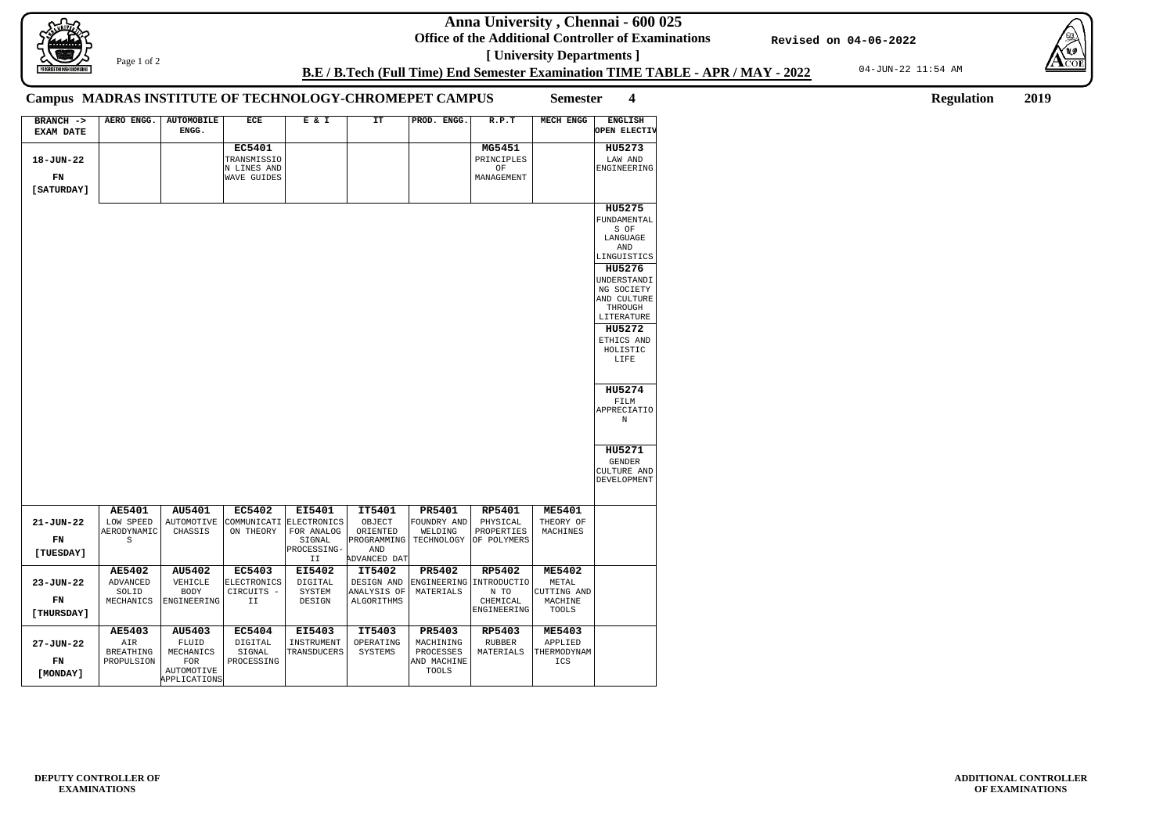**Anna University , Chennai - 600 025**

**Office of the Additional Controller of Examinations [ University Departments ]**

04-JUN-22 11:54 AM





**ADDITIONAL CONTROLLER OF EXAMINATIONS**

**B.E / B.Tech (Full Time) End Semester Examination TIME TABLE - APR / MAY - 2022**

**Revised on 04-06-2022**

Page 1 of 2

**Semester 4 Regulation 2019**

## **Campus MADRAS INSTITUTE OF TECHNOLOGY-CHROMEPET CAMPUS**

| BRANCH ->        | AERO ENGG.       | <b>AUTOMOBILE</b>          | ECE                | E & I                 | IT                 | PROD. ENGG.   | R.P.T                   | <b>MECH ENGG</b>        | <b>ENGLISH</b>            |
|------------------|------------------|----------------------------|--------------------|-----------------------|--------------------|---------------|-------------------------|-------------------------|---------------------------|
| <b>EXAM DATE</b> |                  | ENGG.                      |                    |                       |                    |               |                         |                         | OPEN ELECTIV              |
|                  |                  |                            | <b>EC5401</b>      |                       |                    |               | MG5451                  |                         | HU5273                    |
| 18-JUN-22        |                  |                            | TRANSMISSIO        |                       |                    |               | PRINCIPLES              |                         | LAW AND                   |
|                  |                  |                            | N LINES AND        |                       |                    |               | OF                      |                         | <b>ENGINEERING</b>        |
| FN               |                  |                            | <b>WAVE GUIDES</b> |                       |                    |               | MANAGEMENT              |                         |                           |
| [ SATURDAY ]     |                  |                            |                    |                       |                    |               |                         |                         |                           |
|                  |                  |                            |                    |                       |                    |               |                         |                         |                           |
|                  |                  |                            |                    |                       |                    |               |                         |                         | HU5275                    |
|                  |                  |                            |                    |                       |                    |               |                         |                         | FUNDAMENTAL<br>S OF       |
|                  |                  |                            |                    |                       |                    |               |                         |                         | LANGUAGE                  |
|                  |                  |                            |                    |                       |                    |               |                         |                         | AND                       |
|                  |                  |                            |                    |                       |                    |               |                         |                         | LINGUISTICS               |
|                  |                  |                            |                    |                       |                    |               |                         |                         | HU5276                    |
|                  |                  |                            |                    |                       |                    |               |                         |                         | UNDERSTANDI               |
|                  |                  |                            |                    |                       |                    |               |                         |                         | NG SOCIETY<br>AND CULTURE |
|                  |                  |                            |                    |                       |                    |               |                         |                         | THROUGH                   |
|                  |                  |                            |                    |                       |                    |               |                         |                         | LITERATURE                |
|                  |                  |                            |                    |                       |                    |               |                         |                         | HU5272                    |
|                  |                  |                            |                    |                       |                    |               |                         |                         | ETHICS AND                |
|                  |                  |                            |                    |                       |                    |               |                         |                         | HOLISTIC<br>LIFE          |
|                  |                  |                            |                    |                       |                    |               |                         |                         |                           |
|                  |                  |                            |                    |                       |                    |               |                         |                         |                           |
|                  |                  |                            |                    |                       |                    |               |                         |                         | HU5274                    |
|                  |                  |                            |                    |                       |                    |               |                         |                         | FILM                      |
|                  |                  |                            |                    |                       |                    |               |                         |                         | <b>APPRECIATIO</b>        |
|                  |                  |                            |                    |                       |                    |               |                         |                         | N                         |
|                  |                  |                            |                    |                       |                    |               |                         |                         |                           |
|                  |                  |                            |                    |                       |                    |               |                         |                         | HU5271                    |
|                  |                  |                            |                    |                       |                    |               |                         |                         | <b>GENDER</b>             |
|                  |                  |                            |                    |                       |                    |               |                         |                         | CULTURE AND               |
|                  |                  |                            |                    |                       |                    |               |                         |                         | DEVELOPMENT               |
|                  |                  |                            |                    |                       |                    |               |                         |                         |                           |
|                  | <b>AE5401</b>    | AU5401                     | <b>EC5402</b>      | EI5401                | IT5401             | PR5401        | <b>RP5401</b>           | <b>ME5401</b>           |                           |
| $21 - JUN - 22$  | LOW SPEED        | AUTOMOTIVE                 | COMMUNICATI        | ELECTRONICS           | OBJECT             | FOUNDRY AND   | PHYSICAL                | THEORY OF               |                           |
|                  | AERODYNAMIC      | CHASSIS                    | ON THEORY          | FOR ANALOG            | ORIENTED           | WELDING       | PROPERTIES              | MACHINES                |                           |
| FN               | S                |                            |                    | SIGNAL<br>PROCESSING- | PROGRAMMING<br>AND | TECHNOLOGY    | OF POLYMERS             |                         |                           |
| [TUESDAY]        |                  |                            |                    | II                    | ADVANCED DAT       |               |                         |                         |                           |
|                  | <b>AE5402</b>    | AU5402                     | <b>EC5403</b>      | <b>EI5402</b>         | IT5402             | PR5402        | <b>RP5402</b>           | <b>ME5402</b>           |                           |
| 23-JUN-22        | <b>ADVANCED</b>  | VEHICLE                    | <b>ELECTRONICS</b> | <b>DIGITAL</b>        | DESIGN AND         |               | ENGINEERING INTRODUCTIO | METAL                   |                           |
|                  | SOLID            | <b>BODY</b>                | CIRCUITS -         | SYSTEM                | ANALYSIS OF        | MATERIALS     | N TO                    | CUTTING AND             |                           |
| FN               | MECHANICS        | ENGINEERING                | II                 | DESIGN                | ALGORITHMS         |               | CHEMICAL<br>ENGINEERING | MACHINE<br><b>TOOLS</b> |                           |
| [THURSDAY]       |                  |                            |                    |                       |                    |               |                         |                         |                           |
|                  | AE5403           | AU5403                     | <b>EC5404</b>      | EI5403                | IT5403             | PR5403        | RP5403                  | <b>ME5403</b>           |                           |
| 27-JUN-22        | AIR              | FLUID                      | DIGITAL            | INSTRUMENT            | OPERATING          | MACHINING     | RUBBER                  | APPLIED                 |                           |
|                  | <b>BREATHING</b> | MECHANICS                  | SIGNAL             | TRANSDUCERS           | SYSTEMS            | PROCESSES     | MATERIALS               | THERMODYNAM             |                           |
| FN               | PROPULSION       | FOR                        | PROCESSING         |                       |                    | AND MACHINE   |                         | ICS                     |                           |
| [MONDAY]         |                  | AUTOMOTIVE<br>APPLICATIONS |                    |                       |                    | ${\tt TOOLS}$ |                         |                         |                           |